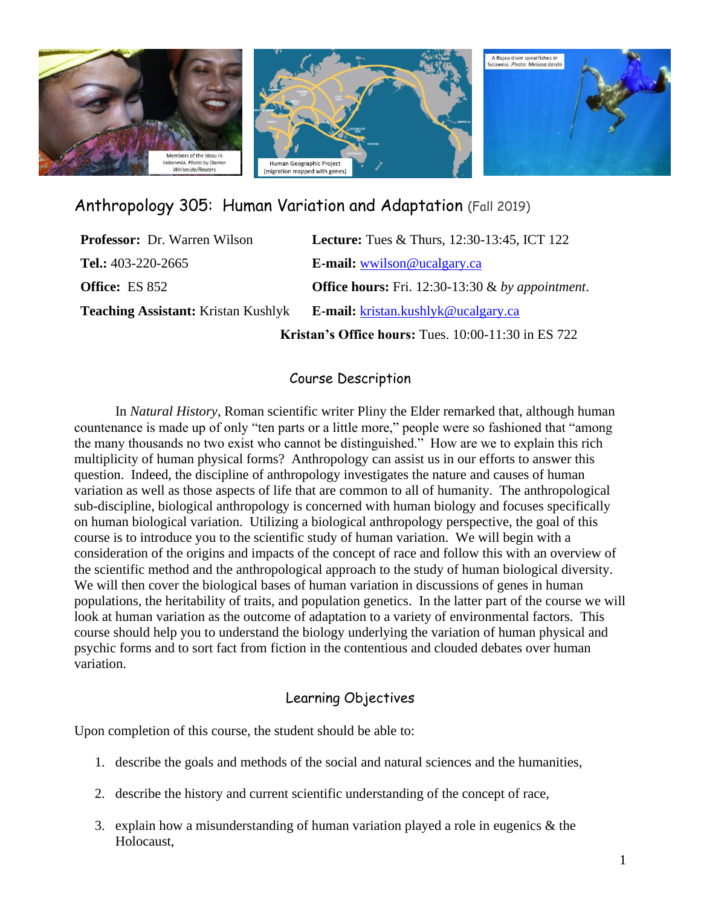

# Anthropology 305: Human Variation and Adaptation (Fall 2019)

| <b>Professor:</b> Dr. Warren Wilson                 | <b>Lecture:</b> Tues & Thurs, $12:30-13:45$ , ICT $122$    |  |
|-----------------------------------------------------|------------------------------------------------------------|--|
| Tel.: $403-220-2665$                                | E-mail: wwilson@ucalgary.ca                                |  |
| <b>Office:</b> ES 852                               | <b>Office hours:</b> Fri. 12:30-13:30 $\&$ by appointment. |  |
| <b>Teaching Assistant:</b> Kristan Kushlyk          | <b>E-mail:</b> kristan.kushlyk@ucalgary.ca                 |  |
| Kristan's Office hours: Tues. 10:00-11:30 in ES 722 |                                                            |  |

#### Course Description

In *Natural History*, Roman scientific writer Pliny the Elder remarked that, although human countenance is made up of only "ten parts or a little more," people were so fashioned that "among the many thousands no two exist who cannot be distinguished." How are we to explain this rich multiplicity of human physical forms? Anthropology can assist us in our efforts to answer this question. Indeed, the discipline of anthropology investigates the nature and causes of human variation as well as those aspects of life that are common to all of humanity. The anthropological sub-discipline, biological anthropology is concerned with human biology and focuses specifically on human biological variation. Utilizing a biological anthropology perspective, the goal of this course is to introduce you to the scientific study of human variation. We will begin with a consideration of the origins and impacts of the concept of race and follow this with an overview of the scientific method and the anthropological approach to the study of human biological diversity. We will then cover the biological bases of human variation in discussions of genes in human populations, the heritability of traits, and population genetics. In the latter part of the course we will look at human variation as the outcome of adaptation to a variety of environmental factors. This course should help you to understand the biology underlying the variation of human physical and psychic forms and to sort fact from fiction in the contentious and clouded debates over human variation.

### Learning Objectives

Upon completion of this course, the student should be able to:

- 1. describe the goals and methods of the social and natural sciences and the humanities,
- 2. describe the history and current scientific understanding of the concept of race,
- 3. explain how a misunderstanding of human variation played a role in eugenics & the Holocaust,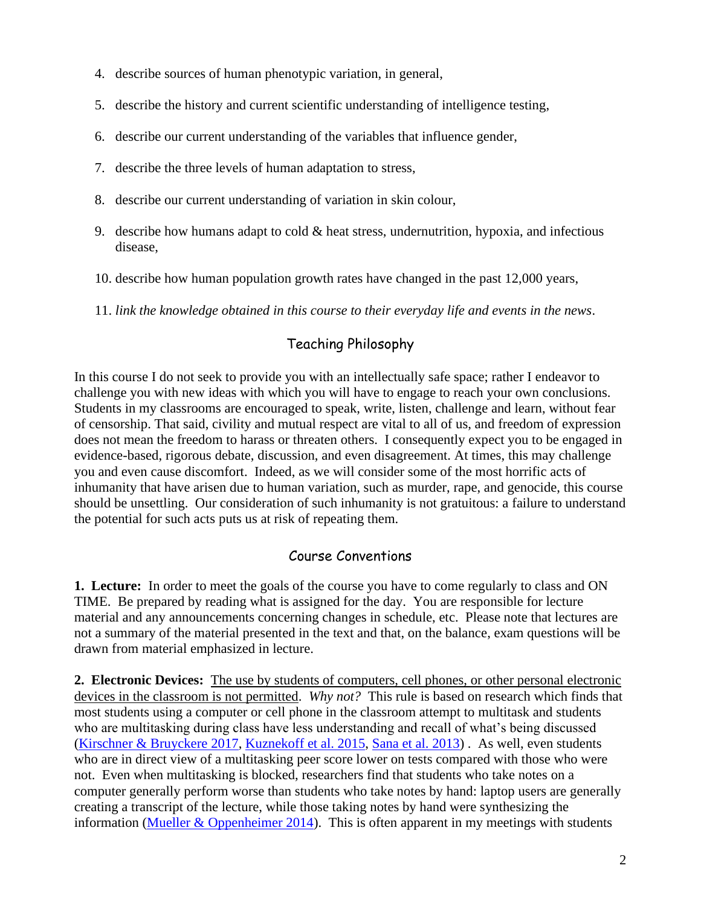- 4. describe sources of human phenotypic variation, in general,
- 5. describe the history and current scientific understanding of intelligence testing,
- 6. describe our current understanding of the variables that influence gender,
- 7. describe the three levels of human adaptation to stress,
- 8. describe our current understanding of variation in skin colour,
- 9. describe how humans adapt to cold & heat stress, undernutrition, hypoxia, and infectious disease,
- 10. describe how human population growth rates have changed in the past 12,000 years,
- 11. *link the knowledge obtained in this course to their everyday life and events in the news*.

## Teaching Philosophy

In this course I do not seek to provide you with an intellectually safe space; rather I endeavor to challenge you with new ideas with which you will have to engage to reach your own conclusions. Students in my classrooms are encouraged to speak, write, listen, challenge and learn, without fear of censorship. That said, civility and mutual respect are vital to all of us, and freedom of expression does not mean the freedom to harass or threaten others. I consequently expect you to be engaged in evidence-based, rigorous debate, discussion, and even disagreement. At times, this may challenge you and even cause discomfort. Indeed, as we will consider some of the most horrific acts of inhumanity that have arisen due to human variation, such as murder, rape, and genocide, this course should be unsettling. Our consideration of such inhumanity is not gratuitous: a failure to understand the potential for such acts puts us at risk of repeating them.

## Course Conventions

**1. Lecture:**In order to meet the goals of the course you have to come regularly to class and ON TIME. Be prepared by reading what is assigned for the day. You are responsible for lecture material and any announcements concerning changes in schedule, etc. Please note that lectures are not a summary of the material presented in the text and that, on the balance, exam questions will be drawn from material emphasized in lecture.

**2. Electronic Devices:** The use by students of computers, cell phones, or other personal electronic devices in the classroom is not permitted. *Why not?* This rule is based on research which finds that most students using a computer or cell phone in the classroom attempt to multitask and students who are multitasking during class have less understanding and recall of what's being discussed [\(Kirschner & Bruyckere 2017,](https://www.sciencedirect.com/science/article/pii/S0742051X16306692) [Kuznekoff et al. 2015,](https://www.tandfonline.com/doi/abs/10.1080/03634523.2015.1038727) [Sana et al. 2013\)](https://www.sciencedirect.com/science/article/pii/S0360131512002254) . As well, even students who are in direct view of a multitasking peer score lower on tests compared with those who were not. Even when multitasking is blocked, researchers find that students who take notes on a computer generally perform worse than students who take notes by hand: laptop users are generally creating a transcript of the lecture, while those taking notes by hand were synthesizing the information (Mueller  $&$  Oppenheimer 2014). This is often apparent in my meetings with students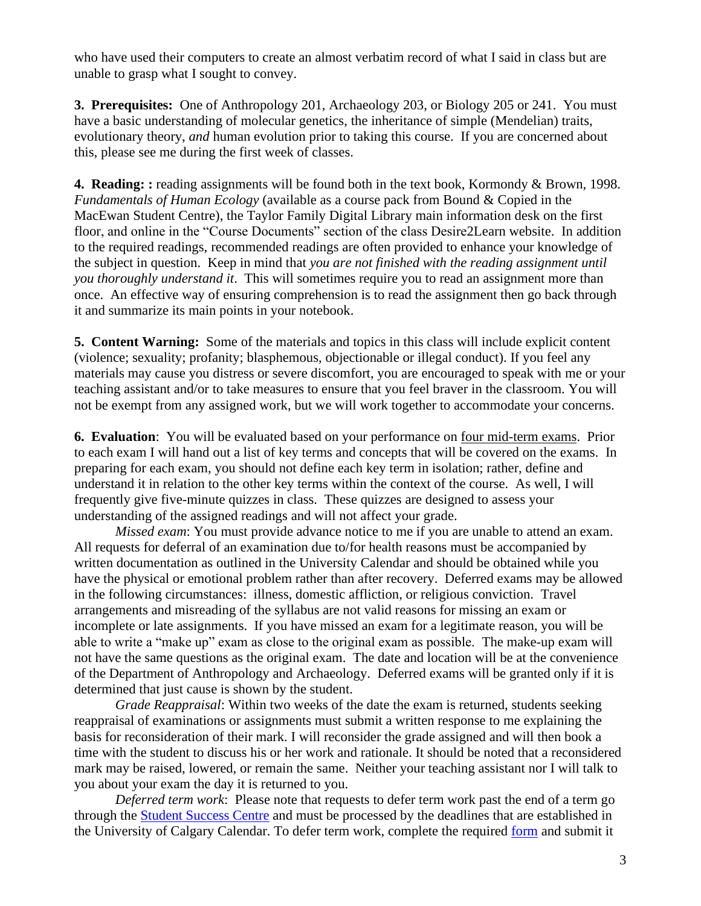who have used their computers to create an almost verbatim record of what I said in class but are unable to grasp what I sought to convey.

**3. Prerequisites:** One of Anthropology 201, Archaeology 203, or Biology 205 or 241. You must have a basic understanding of molecular genetics, the inheritance of simple (Mendelian) traits, evolutionary theory, *and* human evolution prior to taking this course. If you are concerned about this, please see me during the first week of classes.

**4. Reading: :** reading assignments will be found both in the text book, Kormondy & Brown, 1998. *Fundamentals of Human Ecology* (available as a course pack from Bound & Copied in the MacEwan Student Centre), the Taylor Family Digital Library main information desk on the first floor, and online in the "Course Documents" section of the class Desire2Learn website. In addition to the required readings, recommended readings are often provided to enhance your knowledge of the subject in question. Keep in mind that *you are not finished with the reading assignment until you thoroughly understand it*. This will sometimes require you to read an assignment more than once. An effective way of ensuring comprehension is to read the assignment then go back through it and summarize its main points in your notebook.

**5. Content Warning:** Some of the materials and topics in this class will include explicit content (violence; sexuality; profanity; blasphemous, objectionable or illegal conduct). If you feel any materials may cause you distress or severe discomfort, you are encouraged to speak with me or your teaching assistant and/or to take measures to ensure that you feel braver in the classroom. You will not be exempt from any assigned work, but we will work together to accommodate your concerns.

**6. Evaluation**: You will be evaluated based on your performance on four mid-term exams. Prior to each exam I will hand out a list of key terms and concepts that will be covered on the exams. In preparing for each exam, you should not define each key term in isolation; rather, define and understand it in relation to the other key terms within the context of the course. As well, I will frequently give five-minute quizzes in class. These quizzes are designed to assess your understanding of the assigned readings and will not affect your grade.

*Missed exam*: You must provide advance notice to me if you are unable to attend an exam. All requests for deferral of an examination due to/for health reasons must be accompanied by written documentation as outlined in the University Calendar and should be obtained while you have the physical or emotional problem rather than after recovery. Deferred exams may be allowed in the following circumstances: illness, domestic affliction, or religious conviction. Travel arrangements and misreading of the syllabus are not valid reasons for missing an exam or incomplete or late assignments. If you have missed an exam for a legitimate reason, you will be able to write a "make up" exam as close to the original exam as possible. The make-up exam will not have the same questions as the original exam. The date and location will be at the convenience of the Department of Anthropology and Archaeology. Deferred exams will be granted only if it is determined that just cause is shown by the student.

*Grade Reappraisal*: Within two weeks of the date the exam is returned, students seeking reappraisal of examinations or assignments must submit a written response to me explaining the basis for reconsideration of their mark. I will reconsider the grade assigned and will then book a time with the student to discuss his or her work and rationale. It should be noted that a reconsidered mark may be raised, lowered, or remain the same. Neither your teaching assistant nor I will talk to you about your exam the day it is returned to you.

*Deferred term work*: Please note that requests to defer term work past the end of a term go through the [Student Success Centre](http://www.ucalgary.ca/ssc/) and must be processed by the deadlines that are established in the University of Calgary Calendar. To defer term work, complete the required [form](https://www.ucalgary.ca/registrar/student-forms) and submit it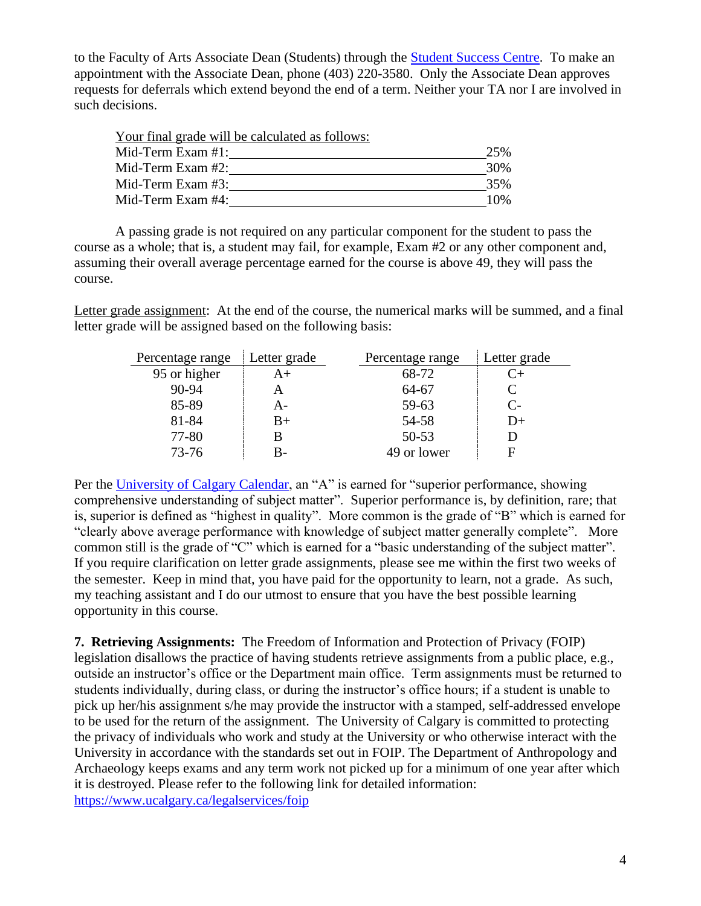to the Faculty of Arts Associate Dean (Students) through the [Student Success Centre.](https://www.ucalgary.ca/ssc/) To make an appointment with the Associate Dean, phone (403) 220-3580. Only the Associate Dean approves requests for deferrals which extend beyond the end of a term. Neither your TA nor I are involved in such decisions.

Your final grade will be calculated as follows: Mid-Term Exam #1: 25% Mid-Term Exam #2: 30% Mid-Term Exam #3: 35% Mid-Term Exam #4: 10%

A passing grade is not required on any particular component for the student to pass the course as a whole; that is, a student may fail, for example, Exam #2 or any other component and, assuming their overall average percentage earned for the course is above 49, they will pass the course.

Letter grade assignment: At the end of the course, the numerical marks will be summed, and a final letter grade will be assigned based on the following basis:

| Percentage range | Letter grade | Percentage range | Letter grade |
|------------------|--------------|------------------|--------------|
| 95 or higher     | A+           | 68-72            |              |
| 90-94            |              | 64-67            |              |
| 85-89            | A-           | 59-63            | $C-$         |
| 81-84            | $B+$         | 54-58            | I)+          |
| 77-80            |              | $50 - 53$        |              |
| $73 - 76$        | В-           | 49 or lower      |              |

Per the [University of Calgary Calendar,](https://www.ucalgary.ca/pubs/calendar/archives/2015/f-2.html) an "A" is earned for "superior performance, showing comprehensive understanding of subject matter". Superior performance is, by definition, rare; that is, superior is defined as "highest in quality". More common is the grade of "B" which is earned for "clearly above average performance with knowledge of subject matter generally complete". More common still is the grade of "C" which is earned for a "basic understanding of the subject matter". If you require clarification on letter grade assignments, please see me within the first two weeks of the semester. Keep in mind that, you have paid for the opportunity to learn, not a grade. As such, my teaching assistant and I do our utmost to ensure that you have the best possible learning opportunity in this course.

**7. Retrieving Assignments:** The Freedom of Information and Protection of Privacy (FOIP) legislation disallows the practice of having students retrieve assignments from a public place, e.g., outside an instructor's office or the Department main office. Term assignments must be returned to students individually, during class, or during the instructor's office hours; if a student is unable to pick up her/his assignment s/he may provide the instructor with a stamped, self-addressed envelope to be used for the return of the assignment. The University of Calgary is committed to protecting the privacy of individuals who work and study at the University or who otherwise interact with the University in accordance with the standards set out in FOIP. The Department of Anthropology and Archaeology keeps exams and any term work not picked up for a minimum of one year after which it is destroyed. Please refer to the following link for detailed information: <https://www.ucalgary.ca/legalservices/foip>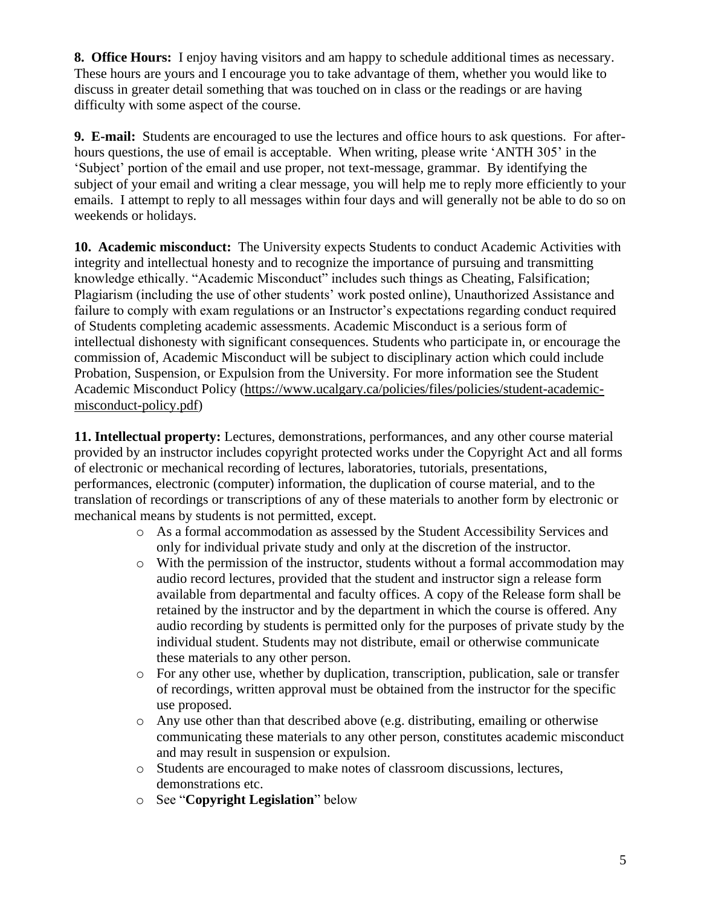**8. Office Hours:**I enjoy having visitors and am happy to schedule additional times as necessary. These hours are yours and I encourage you to take advantage of them, whether you would like to discuss in greater detail something that was touched on in class or the readings or are having difficulty with some aspect of the course.

**9. E-mail:** Students are encouraged to use the lectures and office hours to ask questions. For afterhours questions, the use of email is acceptable. When writing, please write 'ANTH 305' in the 'Subject' portion of the email and use proper, not text-message, grammar. By identifying the subject of your email and writing a clear message, you will help me to reply more efficiently to your emails. I attempt to reply to all messages within four days and will generally not be able to do so on weekends or holidays.

**10. Academic misconduct:** The University expects Students to conduct Academic Activities with integrity and intellectual honesty and to recognize the importance of pursuing and transmitting knowledge ethically. "Academic Misconduct" includes such things as Cheating, Falsification; Plagiarism (including the use of other students' work posted online), Unauthorized Assistance and failure to comply with exam regulations or an Instructor's expectations regarding conduct required of Students completing academic assessments. Academic Misconduct is a serious form of intellectual dishonesty with significant consequences. Students who participate in, or encourage the commission of, Academic Misconduct will be subject to disciplinary action which could include Probation, Suspension, or Expulsion from the University. For more information see the Student Academic Misconduct Policy [\(https://www.ucalgary.ca/policies/files/policies/student-academic](https://www.ucalgary.ca/policies/files/policies/student-academic-misconduct-policy.pdf)[misconduct-policy.pdf\)](https://www.ucalgary.ca/policies/files/policies/student-academic-misconduct-policy.pdf)

**11. Intellectual property:** Lectures, demonstrations, performances, and any other course material provided by an instructor includes copyright protected works under the Copyright Act and all forms of electronic or mechanical recording of lectures, laboratories, tutorials, presentations, performances, electronic (computer) information, the duplication of course material, and to the translation of recordings or transcriptions of any of these materials to another form by electronic or mechanical means by students is not permitted, except.

- o As a formal accommodation as assessed by the Student Accessibility Services and only for individual private study and only at the discretion of the instructor.
- o With the permission of the instructor, students without a formal accommodation may audio record lectures, provided that the student and instructor sign a release form available from departmental and faculty offices. A copy of the Release form shall be retained by the instructor and by the department in which the course is offered. Any audio recording by students is permitted only for the purposes of private study by the individual student. Students may not distribute, email or otherwise communicate these materials to any other person.
- o For any other use, whether by duplication, transcription, publication, sale or transfer of recordings, written approval must be obtained from the instructor for the specific use proposed.
- o Any use other than that described above (e.g. distributing, emailing or otherwise communicating these materials to any other person, constitutes academic misconduct and may result in suspension or expulsion.
- o Students are encouraged to make notes of classroom discussions, lectures, demonstrations etc.
- o See "**Copyright Legislation**" below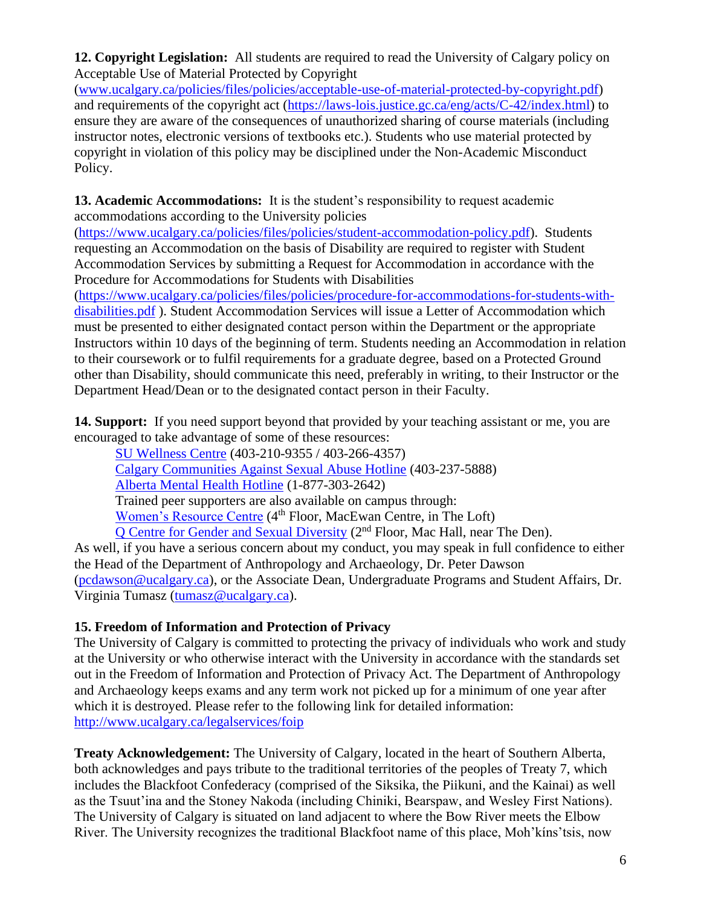**12. Copyright Legislation:** All students are required to read the University of Calgary policy on Acceptable Use of Material Protected by Copyright

[\(www.ucalgary.ca/policies/files/policies/acceptable-use-of-material-protected-by-copyright.pdf\)](http://www.ucalgary.ca/policies/files/policies/acceptable-use-of-material-protected-by-copyright.pdf) and requirements of the copyright act [\(https://laws-lois.justice.gc.ca/eng/acts/C-42/index.html\)](https://laws-lois.justice.gc.ca/eng/acts/C-42/index.html) to ensure they are aware of the consequences of unauthorized sharing of course materials (including instructor notes, electronic versions of textbooks etc.). Students who use material protected by copyright in violation of this policy may be disciplined under the Non-Academic Misconduct Policy.

**13. Academic Accommodations:** It is the student's responsibility to request academic accommodations according to the University policies

[\(https://www.ucalgary.ca/policies/files/policies/student-accommodation-policy.pdf\)](https://www.ucalgary.ca/policies/files/policies/student-accommodation-policy.pdf). Students requesting an Accommodation on the basis of Disability are required to register with Student Accommodation Services by submitting a Request for Accommodation in accordance with the Procedure for Accommodations for Students with Disabilities

[\(https://www.ucalgary.ca/policies/files/policies/procedure-for-accommodations-for-students-with](https://www.ucalgary.ca/policies/files/policies/procedure-for-accommodations-for-students-with-disabilities.pdf)[disabilities.pdf](https://www.ucalgary.ca/policies/files/policies/procedure-for-accommodations-for-students-with-disabilities.pdf) ). Student Accommodation Services will issue a Letter of Accommodation which must be presented to either designated contact person within the Department or the appropriate Instructors within 10 days of the beginning of term. Students needing an Accommodation in relation to their coursework or to fulfil requirements for a graduate degree, based on a Protected Ground other than Disability, should communicate this need, preferably in writing, to their Instructor or the Department Head/Dean or to the designated contact person in their Faculty.

14. Support: If you need support beyond that provided by your teaching assistant or me, you are encouraged to take advantage of some of these resources:

[SU Wellness Centre](http://www.ucalgary.ca/wellnesscentre/) (403-210-9355 / 403-266-4357) [Calgary Communities Against Sexual Abuse Hotline](http://www.calgarycasa.com/) (403-237-5888) [Alberta Mental Health Hotline](http://www.albertahealthservices.ca/services.asp?pid=saf&rid=1019446) (1-877-303-2642) Trained peer supporters are also available on campus through: [Women's Resource Centre](https://www.ucalgary.ca/women/) (4<sup>th</sup> Floor, MacEwan Centre, in The Loft) [Q Centre for Gender and Sexual Diversity](https://www.su.ucalgary.ca/programs-services/student-services/the-q-centre/) (2nd Floor, Mac Hall, near The Den).

As well, if you have a serious concern about my conduct, you may speak in full confidence to either the Head of the Department of Anthropology and Archaeology, Dr. Peter Dawson [\(pcdawson@ucalgary.ca\)](mailto:pcdawson@ucalgary.ca), or the Associate Dean, Undergraduate Programs and Student Affairs, Dr. Virginia Tumasz [\(tumasz@ucalgary.ca\)](mailto:tumasz@ucalgary.ca).

## **15. Freedom of Information and Protection of Privacy**

The University of Calgary is committed to protecting the privacy of individuals who work and study at the University or who otherwise interact with the University in accordance with the standards set out in the Freedom of Information and Protection of Privacy Act. The Department of Anthropology and Archaeology keeps exams and any term work not picked up for a minimum of one year after which it is destroyed. Please refer to the following link for detailed information: <http://www.ucalgary.ca/legalservices/foip>

**Treaty Acknowledgement:** The University of Calgary, located in the heart of Southern Alberta, both acknowledges and pays tribute to the traditional territories of the peoples of Treaty 7, which includes the Blackfoot Confederacy (comprised of the Siksika, the Piikuni, and the Kainai) as well as the Tsuut'ina and the Stoney Nakoda (including Chiniki, Bearspaw, and Wesley First Nations). The University of Calgary is situated on land adjacent to where the Bow River meets the Elbow River. The University recognizes the traditional Blackfoot name of this place, Moh'kíns'tsis, now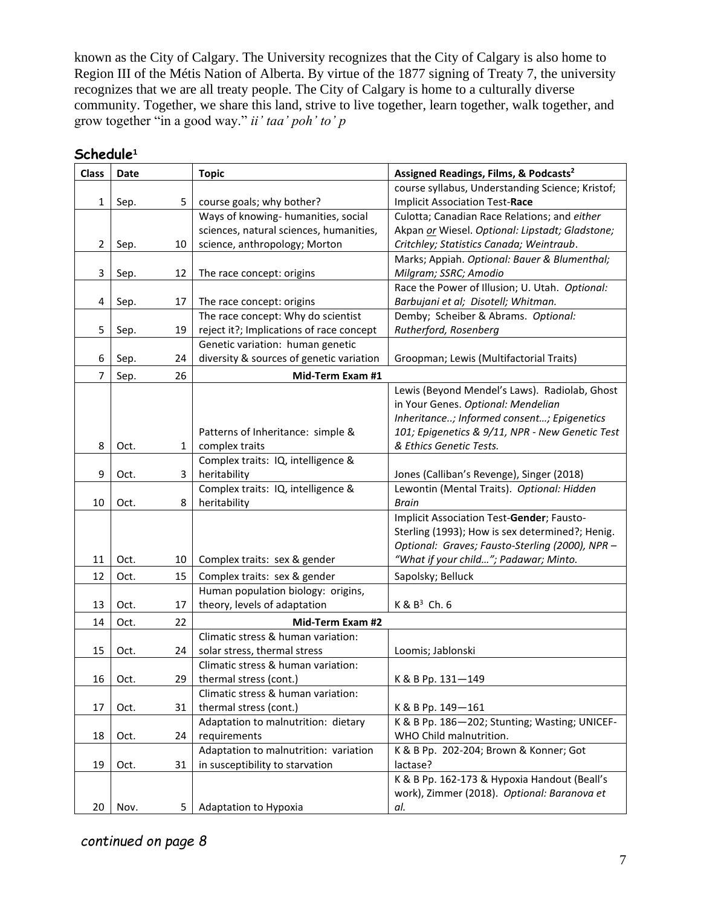known as the City of Calgary. The University recognizes that the City of Calgary is also home to Region III of the Métis Nation of Alberta. By virtue of the 1877 signing of Treaty 7, the university recognizes that we are all treaty people. The City of Calgary is home to a culturally diverse community. Together, we share this land, strive to live together, learn together, walk together, and grow together "in a good way." *ii' taa' poh' to' p*

| <b>Class</b>   | Date |              | <b>Topic</b>                             | Assigned Readings, Films, & Podcasts <sup>2</sup> |
|----------------|------|--------------|------------------------------------------|---------------------------------------------------|
|                |      |              |                                          | course syllabus, Understanding Science; Kristof;  |
| $\mathbf{1}$   | Sep. | 5            | course goals; why bother?                | <b>Implicit Association Test-Race</b>             |
|                |      |              | Ways of knowing-humanities, social       | Culotta; Canadian Race Relations; and either      |
|                |      |              | sciences, natural sciences, humanities,  | Akpan or Wiesel. Optional: Lipstadt; Gladstone;   |
| $\overline{2}$ | Sep. | 10           | science, anthropology; Morton            | Critchley; Statistics Canada; Weintraub.          |
|                |      |              |                                          | Marks; Appiah. Optional: Bauer & Blumenthal;      |
| 3              | Sep. | 12           | The race concept: origins                | Milgram; SSRC; Amodio                             |
|                |      |              |                                          | Race the Power of Illusion; U. Utah. Optional:    |
| 4              | Sep. | 17           | The race concept: origins                | Barbujani et al; Disotell; Whitman.               |
|                |      |              | The race concept: Why do scientist       | Demby; Scheiber & Abrams. Optional:               |
| 5              | Sep. | 19           | reject it?; Implications of race concept | Rutherford, Rosenberg                             |
|                |      |              | Genetic variation: human genetic         |                                                   |
| 6              | Sep. | 24           | diversity & sources of genetic variation | Groopman; Lewis (Multifactorial Traits)           |
| 7              | Sep. | 26           | Mid-Term Exam #1                         |                                                   |
|                |      |              |                                          | Lewis (Beyond Mendel's Laws). Radiolab, Ghost     |
|                |      |              |                                          | in Your Genes. Optional: Mendelian                |
|                |      |              |                                          | Inheritance; Informed consent; Epigenetics        |
|                |      |              | Patterns of Inheritance: simple &        | 101; Epigenetics & 9/11, NPR - New Genetic Test   |
| 8              | Oct. | $\mathbf{1}$ | complex traits                           | & Ethics Genetic Tests.                           |
|                |      |              | Complex traits: IQ, intelligence &       |                                                   |
| 9              | Oct. | 3            | heritability                             | Jones (Calliban's Revenge), Singer (2018)         |
|                |      |              | Complex traits: IQ, intelligence &       | Lewontin (Mental Traits). Optional: Hidden        |
| 10             | Oct. | 8            | heritability                             | Brain                                             |
|                |      |              |                                          | Implicit Association Test-Gender; Fausto-         |
|                |      |              |                                          | Sterling (1993); How is sex determined?; Henig.   |
|                |      |              |                                          | Optional: Graves; Fausto-Sterling (2000), NPR -   |
| 11             | Oct. | 10           | Complex traits: sex & gender             | "What if your child"; Padawar; Minto.             |
| 12             | Oct. | 15           | Complex traits: sex & gender             | Sapolsky; Belluck                                 |
|                |      |              | Human population biology: origins,       |                                                   |
| 13             | Oct. | 17           | theory, levels of adaptation             | $K$ & $B^3$ Ch. 6                                 |
| 14             | Oct. | 22           | Mid-Term Exam #2                         |                                                   |
|                |      |              | Climatic stress & human variation:       |                                                   |
| 15             | Oct. | 24           | solar stress, thermal stress             | Loomis; Jablonski                                 |
|                |      |              | Climatic stress & human variation:       |                                                   |
| 16             | Oct. | 29           | thermal stress (cont.)                   | K & B Pp. 131-149                                 |
|                |      |              | Climatic stress & human variation:       |                                                   |
| 17             | Oct. | 31           | thermal stress (cont.)                   | K & B Pp. 149-161                                 |
|                |      |              | Adaptation to malnutrition: dietary      | K & B Pp. 186-202; Stunting; Wasting; UNICEF-     |
| 18             | Oct. | 24           | requirements                             | WHO Child malnutrition.                           |
|                |      |              | Adaptation to malnutrition: variation    | K & B Pp. 202-204; Brown & Konner; Got            |
| 19             | Oct. | 31           | in susceptibility to starvation          | lactase?                                          |
|                |      |              |                                          | K & B Pp. 162-173 & Hypoxia Handout (Beall's      |
|                |      |              |                                          | work), Zimmer (2018). Optional: Baranova et       |
| 20             | Nov. | 5            | Adaptation to Hypoxia                    | al.                                               |

#### **Schedule<sup>1</sup>**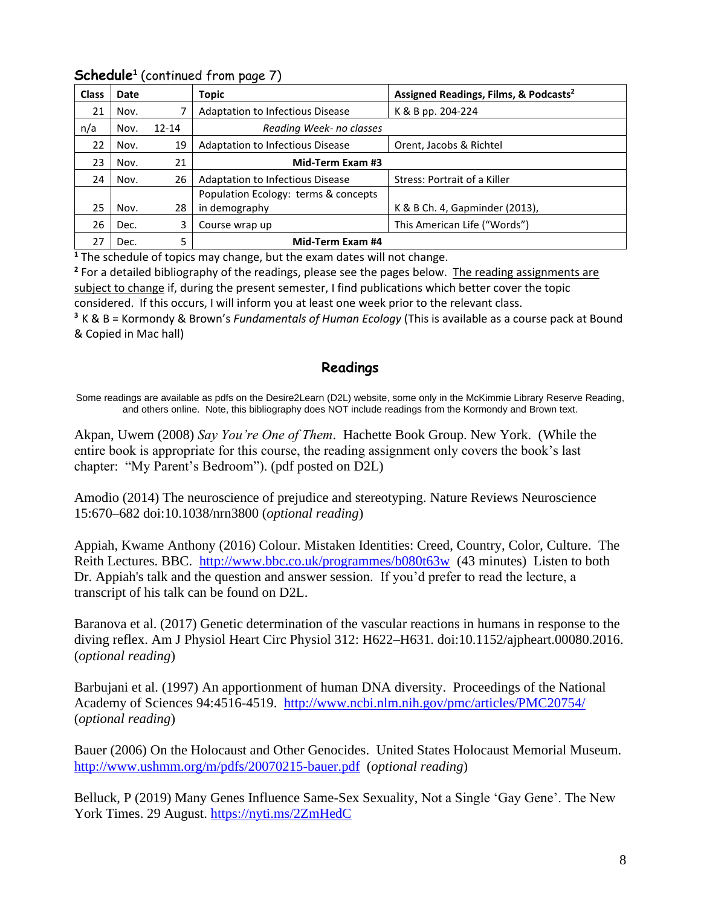| <b>Class</b> | Date |           | <b>Topic</b>                         | Assigned Readings, Films, & Podcasts <sup>2</sup> |
|--------------|------|-----------|--------------------------------------|---------------------------------------------------|
| 21           | Nov. |           | Adaptation to Infectious Disease     | K & B pp. 204-224                                 |
| n/a          | Nov. | $12 - 14$ | Reading Week- no classes             |                                                   |
| 22           | Nov. | 19        | Adaptation to Infectious Disease     | Orent, Jacobs & Richtel                           |
| 23           | Nov. | 21        | Mid-Term Exam #3                     |                                                   |
| 24           | Nov. | 26        | Adaptation to Infectious Disease     | Stress: Portrait of a Killer                      |
|              |      |           | Population Ecology: terms & concepts |                                                   |
| 25           | Nov. | 28        | in demography                        | K & B Ch. 4, Gapminder (2013),                    |
| 26           | Dec. | 3         | Course wrap up                       | This American Life ("Words")                      |
| 27           | Dec. | 5         | Mid-Term Exam #4                     |                                                   |

## **Schedule<sup>1</sup>** (continued from page 7)

**<sup>1</sup>** The schedule of topics may change, but the exam dates will not change.

<sup>2</sup> For a detailed bibliography of the readings, please see the pages below. The reading assignments are subject to change if, during the present semester, I find publications which better cover the topic considered. If this occurs, I will inform you at least one week prior to the relevant class.

**<sup>3</sup>** K & B = Kormondy & Brown's *Fundamentals of Human Ecology* (This is available as a course pack at Bound & Copied in Mac hall)

#### **Readings**

Some readings are available as pdfs on the Desire2Learn (D2L) website, some only in the McKimmie Library Reserve Reading, and others online. Note, this bibliography does NOT include readings from the Kormondy and Brown text.

Akpan, Uwem (2008) *Say You're One of Them*. Hachette Book Group. New York. (While the entire book is appropriate for this course, the reading assignment only covers the book's last chapter: "My Parent's Bedroom"). (pdf posted on D2L)

Amodio (2014) The neuroscience of prejudice and stereotyping. Nature Reviews Neuroscience 15:670–682 doi:10.1038/nrn3800 (*optional reading*)

Appiah, Kwame Anthony (2016) Colour. Mistaken Identities: Creed, Country, Color, Culture. The Reith Lectures. BBC. <http://www.bbc.co.uk/programmes/b080t63w> (43 minutes) Listen to both Dr. Appiah's talk and the question and answer session. If you'd prefer to read the lecture, a transcript of his talk can be found on D2L.

Baranova et al. (2017) Genetic determination of the vascular reactions in humans in response to the diving reflex. Am J Physiol Heart Circ Physiol 312: H622–H631. doi:10.1152/ajpheart.00080.2016. (*optional reading*)

Barbujani et al. (1997) An apportionment of human DNA diversity. Proceedings of the National Academy of Sciences 94:4516-4519. <http://www.ncbi.nlm.nih.gov/pmc/articles/PMC20754/> (*optional reading*)

Bauer (2006) On the Holocaust and Other Genocides. United States Holocaust Memorial Museum. <http://www.ushmm.org/m/pdfs/20070215-bauer.pdf> (*optional reading*)

Belluck, P (2019) Many Genes Influence Same-Sex Sexuality, Not a Single 'Gay Gene'. The New York Times. 29 August.<https://nyti.ms/2ZmHedC>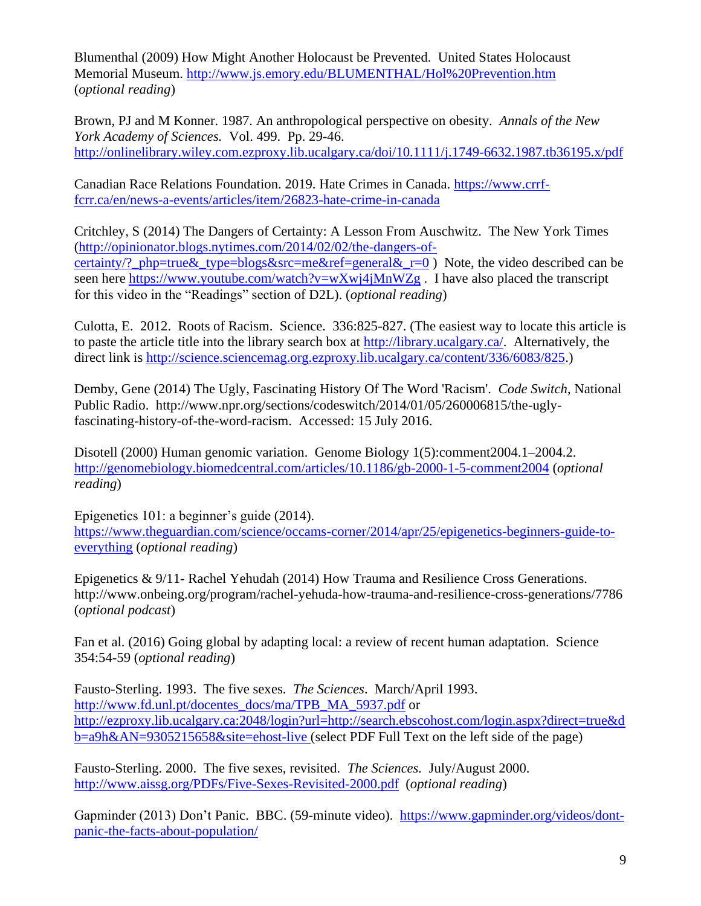Blumenthal (2009) How Might Another Holocaust be Prevented. United States Holocaust Memorial Museum.<http://www.js.emory.edu/BLUMENTHAL/Hol%20Prevention.htm> (*optional reading*)

Brown, PJ and M Konner. 1987. An anthropological perspective on obesity. *Annals of the New York Academy of Sciences.* Vol. 499. Pp. 29-46. <http://onlinelibrary.wiley.com.ezproxy.lib.ucalgary.ca/doi/10.1111/j.1749-6632.1987.tb36195.x/pdf>

Canadian Race Relations Foundation. 2019. Hate Crimes in Canada. [https://www.crrf](https://www.crrf-fcrr.ca/en/news-a-events/articles/item/26823-hate-crime-in-canada)[fcrr.ca/en/news-a-events/articles/item/26823-hate-crime-in-canada](https://www.crrf-fcrr.ca/en/news-a-events/articles/item/26823-hate-crime-in-canada)

Critchley, S (2014) The Dangers of Certainty: A Lesson From Auschwitz. The New York Times [\(http://opinionator.blogs.nytimes.com/2014/02/02/the-dangers-of](http://opinionator.blogs.nytimes.com/2014/02/02/the-dangers-of-certainty/?_php=true&_type=blogs&src=me&ref=general&_r=0)[certainty/?\\_php=true&\\_type=blogs&src=me&ref=general&\\_r=0](http://opinionator.blogs.nytimes.com/2014/02/02/the-dangers-of-certainty/?_php=true&_type=blogs&src=me&ref=general&_r=0) ) Note, the video described can be seen here<https://www.youtube.com/watch?v=wXwj4jMnWZg>. I have also placed the transcript for this video in the "Readings" section of D2L). (*optional reading*)

Culotta, E. 2012. Roots of Racism. Science. 336:825-827. (The easiest way to locate this article is to paste the article title into the library search box at [http://library.ucalgary.ca/.](http://library.ucalgary.ca/) Alternatively, the direct link is [http://science.sciencemag.org.ezproxy.lib.ucalgary.ca/content/336/6083/825.](http://science.sciencemag.org.ezproxy.lib.ucalgary.ca/content/336/6083/825)))

Demby, Gene (2014) The Ugly, Fascinating History Of The Word 'Racism'. *Code Switch*, National Public Radio. http://www.npr.org/sections/codeswitch/2014/01/05/260006815/the-uglyfascinating-history-of-the-word-racism. Accessed: 15 July 2016.

Disotell (2000) Human genomic variation. Genome Biology 1(5):comment2004.1–2004.2. <http://genomebiology.biomedcentral.com/articles/10.1186/gb-2000-1-5-comment2004> (*optional reading*)

Epigenetics 101: a beginner's guide (2014). [https://www.theguardian.com/science/occams-corner/2014/apr/25/epigenetics-beginners-guide-to](https://www.theguardian.com/science/occams-corner/2014/apr/25/epigenetics-beginners-guide-to-everything)[everything](https://www.theguardian.com/science/occams-corner/2014/apr/25/epigenetics-beginners-guide-to-everything) (*optional reading*)

Epigenetics & 9/11- Rachel Yehudah (2014) How Trauma and Resilience Cross Generations. http://www.onbeing.org/program/rachel-yehuda-how-trauma-and-resilience-cross-generations/7786 (*optional podcast*)

Fan et al. (2016) Going global by adapting local: a review of recent human adaptation. Science 354:54-59 (*optional reading*)

Fausto-Sterling. 1993. The five sexes. *The Sciences*. March/April 1993. [http://www.fd.unl.pt/docentes\\_docs/ma/TPB\\_MA\\_5937.pdf](http://www.fd.unl.pt/docentes_docs/ma/TPB_MA_5937.pdf) or [http://ezproxy.lib.ucalgary.ca:2048/login?url=http://search.ebscohost.com/login.aspx?direct=true&d](http://ezproxy.lib.ucalgary.ca:2048/login?url=http://search.ebscohost.com/login.aspx?direct=true&db=a9h&AN=9305215658&site=ehost-live) [b=a9h&AN=9305215658&site=ehost-live](http://ezproxy.lib.ucalgary.ca:2048/login?url=http://search.ebscohost.com/login.aspx?direct=true&db=a9h&AN=9305215658&site=ehost-live) (select PDF Full Text on the left side of the page)

Fausto-Sterling. 2000. The five sexes, revisited. *The Sciences.* July/August 2000. <http://www.aissg.org/PDFs/Five-Sexes-Revisited-2000.pdf>(*optional reading*)

Gapminder (2013) Don't Panic. BBC. (59-minute video). [https://www.gapminder.org/videos/dont](https://www.gapminder.org/videos/dont-panic-the-facts-about-population/)[panic-the-facts-about-population/](https://www.gapminder.org/videos/dont-panic-the-facts-about-population/)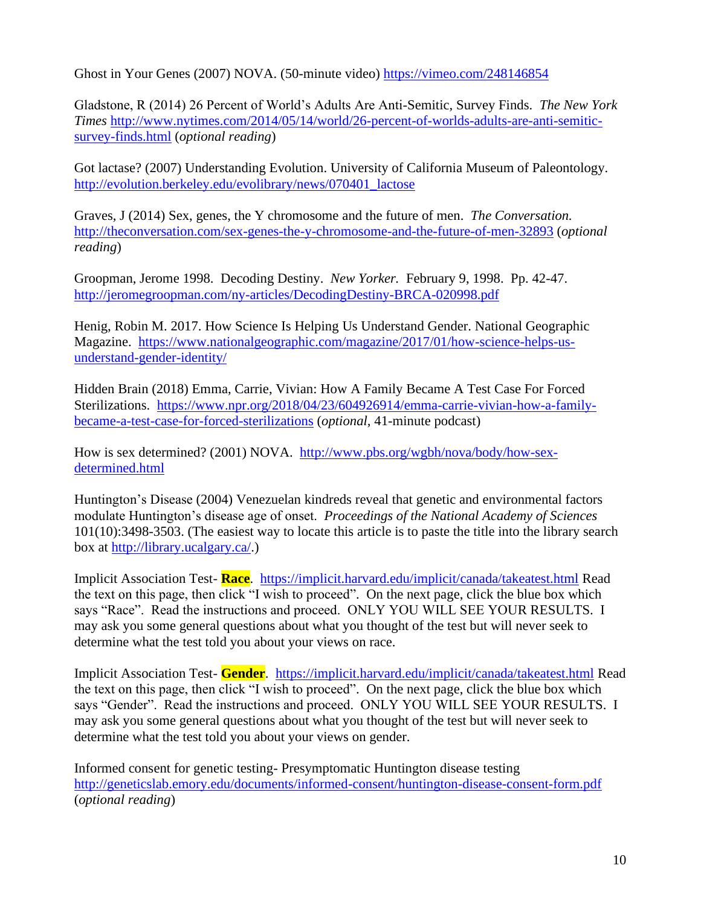Ghost in Your Genes (2007) NOVA. (50-minute video) <https://vimeo.com/248146854>

Gladstone, R (2014) 26 Percent of World's Adults Are Anti-Semitic, Survey Finds. *The New York Times* [http://www.nytimes.com/2014/05/14/world/26-percent-of-worlds-adults-are-anti-semitic](http://www.nytimes.com/2014/05/14/world/26-percent-of-worlds-adults-are-anti-semitic-survey-finds.html)[survey-finds.html](http://www.nytimes.com/2014/05/14/world/26-percent-of-worlds-adults-are-anti-semitic-survey-finds.html) (*optional reading*)

Got lactase? (2007) Understanding Evolution. University of California Museum of Paleontology. [http://evolution.berkeley.edu/evolibrary/news/070401\\_lactose](http://evolution.berkeley.edu/evolibrary/news/070401_lactose)

Graves, J (2014) Sex, genes, the Y chromosome and the future of men. *The Conversation.* <http://theconversation.com/sex-genes-the-y-chromosome-and-the-future-of-men-32893> (*optional reading*)

Groopman, Jerome 1998. Decoding Destiny. *New Yorker.* February 9, 1998. Pp. 42-47. <http://jeromegroopman.com/ny-articles/DecodingDestiny-BRCA-020998.pdf>

Henig, Robin M. 2017. How Science Is Helping Us Understand Gender. National Geographic Magazine. [https://www.nationalgeographic.com/magazine/2017/01/how-science-helps-us](https://www.nationalgeographic.com/magazine/2017/01/how-science-helps-us-understand-gender-identity/)[understand-gender-identity/](https://www.nationalgeographic.com/magazine/2017/01/how-science-helps-us-understand-gender-identity/)

Hidden Brain (2018) Emma, Carrie, Vivian: How A Family Became A Test Case For Forced Sterilizations. [https://www.npr.org/2018/04/23/604926914/emma-carrie-vivian-how-a-family](https://www.npr.org/2018/04/23/604926914/emma-carrie-vivian-how-a-family-became-a-test-case-for-forced-sterilizations)[became-a-test-case-for-forced-sterilizations](https://www.npr.org/2018/04/23/604926914/emma-carrie-vivian-how-a-family-became-a-test-case-for-forced-sterilizations) (*optional,* 41-minute podcast)

How is sex determined? (2001) NOVA. [http://www.pbs.org/wgbh/nova/body/how-sex](http://www.pbs.org/wgbh/nova/body/how-sex-determined.html)[determined.html](http://www.pbs.org/wgbh/nova/body/how-sex-determined.html) 

Huntington's Disease (2004) Venezuelan kindreds reveal that genetic and environmental factors modulate Huntington's disease age of onset. *Proceedings of the National Academy of Sciences* 101(10):3498-3503. (The easiest way to locate this article is to paste the title into the library search box at [http://library.ucalgary.ca/.](http://library.ucalgary.ca/))

Implicit Association Test- **Race**. <https://implicit.harvard.edu/implicit/canada/takeatest.html> Read the text on this page, then click "I wish to proceed". On the next page, click the blue box which says "Race". Read the instructions and proceed. ONLY YOU WILL SEE YOUR RESULTS. I may ask you some general questions about what you thought of the test but will never seek to determine what the test told you about your views on race.

Implicit Association Test- **Gender**. <https://implicit.harvard.edu/implicit/canada/takeatest.html> Read the text on this page, then click "I wish to proceed". On the next page, click the blue box which says "Gender". Read the instructions and proceed. ONLY YOU WILL SEE YOUR RESULTS. I may ask you some general questions about what you thought of the test but will never seek to determine what the test told you about your views on gender.

Informed consent for genetic testing- Presymptomatic Huntington disease testing <http://geneticslab.emory.edu/documents/informed-consent/huntington-disease-consent-form.pdf> (*optional reading*)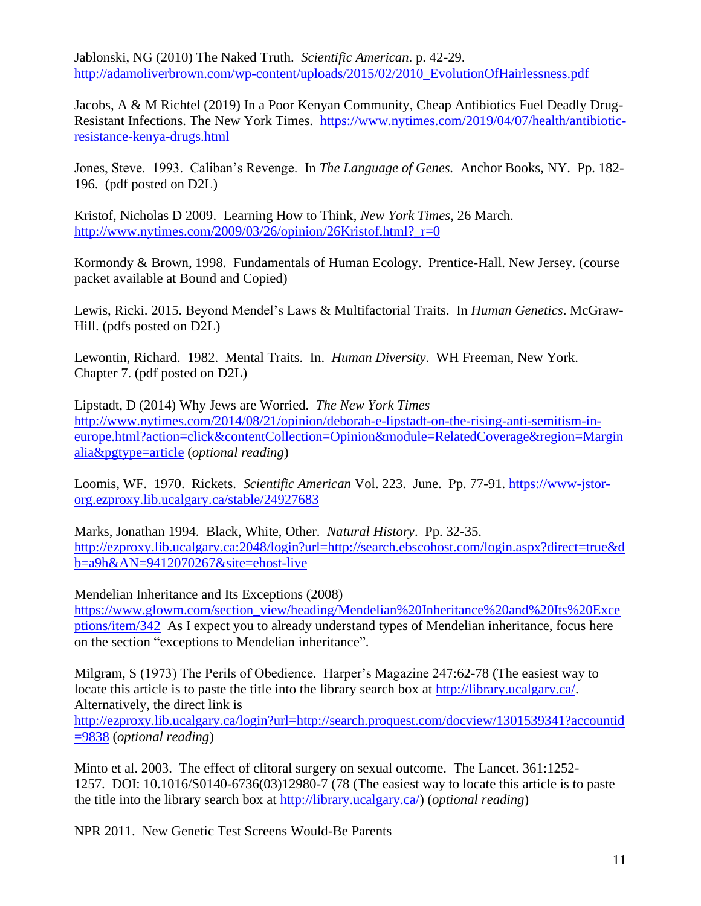Jablonski, NG (2010) The Naked Truth. *Scientific American*. p. 42-29. [http://adamoliverbrown.com/wp-content/uploads/2015/02/2010\\_EvolutionOfHairlessness.pdf](http://adamoliverbrown.com/wp-content/uploads/2015/02/2010_EvolutionOfHairlessness.pdf)

Jacobs, A & M Richtel (2019) In a Poor Kenyan Community, Cheap Antibiotics Fuel Deadly Drug-Resistant Infections. The New York Times. [https://www.nytimes.com/2019/04/07/health/antibiotic](https://www.nytimes.com/2019/04/07/health/antibiotic-resistance-kenya-drugs.html)[resistance-kenya-drugs.html](https://www.nytimes.com/2019/04/07/health/antibiotic-resistance-kenya-drugs.html)

Jones, Steve. 1993. Caliban's Revenge. In *The Language of Genes.* Anchor Books, NY. Pp. 182- 196. (pdf posted on D2L)

Kristof, Nicholas D 2009. Learning How to Think, *New York Times*, 26 March. http://www.nytimes.com/2009/03/26/opinion/26Kristof.html? $r=0$ 

Kormondy & Brown, 1998. Fundamentals of Human Ecology. Prentice-Hall. New Jersey. (course packet available at Bound and Copied)

Lewis, Ricki. 2015. Beyond Mendel's Laws & Multifactorial Traits. In *Human Genetics*. McGraw-Hill. (pdfs posted on D2L)

Lewontin, Richard. 1982. Mental Traits. In. *Human Diversity*. WH Freeman, New York. Chapter 7. (pdf posted on D2L)

Lipstadt, D (2014) Why Jews are Worried. *The New York Times* [http://www.nytimes.com/2014/08/21/opinion/deborah-e-lipstadt-on-the-rising-anti-semitism-in](http://www.nytimes.com/2014/08/21/opinion/deborah-e-lipstadt-on-the-rising-anti-semitism-in-europe.html?action=click&contentCollection=Opinion&module=RelatedCoverage®ion=Marginalia&pgtype=article)[europe.html?action=click&contentCollection=Opinion&module=RelatedCoverage&region=Margin](http://www.nytimes.com/2014/08/21/opinion/deborah-e-lipstadt-on-the-rising-anti-semitism-in-europe.html?action=click&contentCollection=Opinion&module=RelatedCoverage®ion=Marginalia&pgtype=article) [alia&pgtype=article](http://www.nytimes.com/2014/08/21/opinion/deborah-e-lipstadt-on-the-rising-anti-semitism-in-europe.html?action=click&contentCollection=Opinion&module=RelatedCoverage®ion=Marginalia&pgtype=article) (*optional reading*)

Loomis, WF. 1970. Rickets. *Scientific American* Vol. 223. June. Pp. 77-91. [https://www-jstor](https://www-jstor-org.ezproxy.lib.ucalgary.ca/stable/24927683)[org.ezproxy.lib.ucalgary.ca/stable/24927683](https://www-jstor-org.ezproxy.lib.ucalgary.ca/stable/24927683)

Marks, Jonathan 1994. Black, White, Other. *Natural History*. Pp. 32-35. [http://ezproxy.lib.ucalgary.ca:2048/login?url=http://search.ebscohost.com/login.aspx?direct=true&d](http://ezproxy.lib.ucalgary.ca:2048/login?url=http://search.ebscohost.com/login.aspx?direct=true&db=a9h&AN=9412070267&site=ehost-live) [b=a9h&AN=9412070267&site=ehost-live](http://ezproxy.lib.ucalgary.ca:2048/login?url=http://search.ebscohost.com/login.aspx?direct=true&db=a9h&AN=9412070267&site=ehost-live)

Mendelian Inheritance and Its Exceptions (2008)

[https://www.glowm.com/section\\_view/heading/Mendelian%20Inheritance%20and%20Its%20Exce](https://www.glowm.com/section_view/heading/Mendelian%20Inheritance%20and%20Its%20Exceptions/item/342) [ptions/item/342](https://www.glowm.com/section_view/heading/Mendelian%20Inheritance%20and%20Its%20Exceptions/item/342) As I expect you to already understand types of Mendelian inheritance, focus here on the section "exceptions to Mendelian inheritance".

Milgram, S (1973) The Perils of Obedience. Harper's Magazine 247:62-78 (The easiest way to locate this article is to paste the title into the library search box at [http://library.ucalgary.ca/.](http://library.ucalgary.ca/) Alternatively, the direct link is [http://ezproxy.lib.ucalgary.ca/login?url=http://search.proquest.com/docview/1301539341?accountid](http://ezproxy.lib.ucalgary.ca/login?url=http://search.proquest.com/docview/1301539341?accountid=9838) [=9838](http://ezproxy.lib.ucalgary.ca/login?url=http://search.proquest.com/docview/1301539341?accountid=9838) (*optional reading*)

Minto et al. 2003. The effect of clitoral surgery on sexual outcome. The Lancet. 361:1252- 1257. DOI: 10.1016/S0140-6736(03)12980-7 (78 (The easiest way to locate this article is to paste the title into the library search box at [http://library.ucalgary.ca/\)](http://library.ucalgary.ca/) (*optional reading*)

NPR 2011. New Genetic Test Screens Would-Be Parents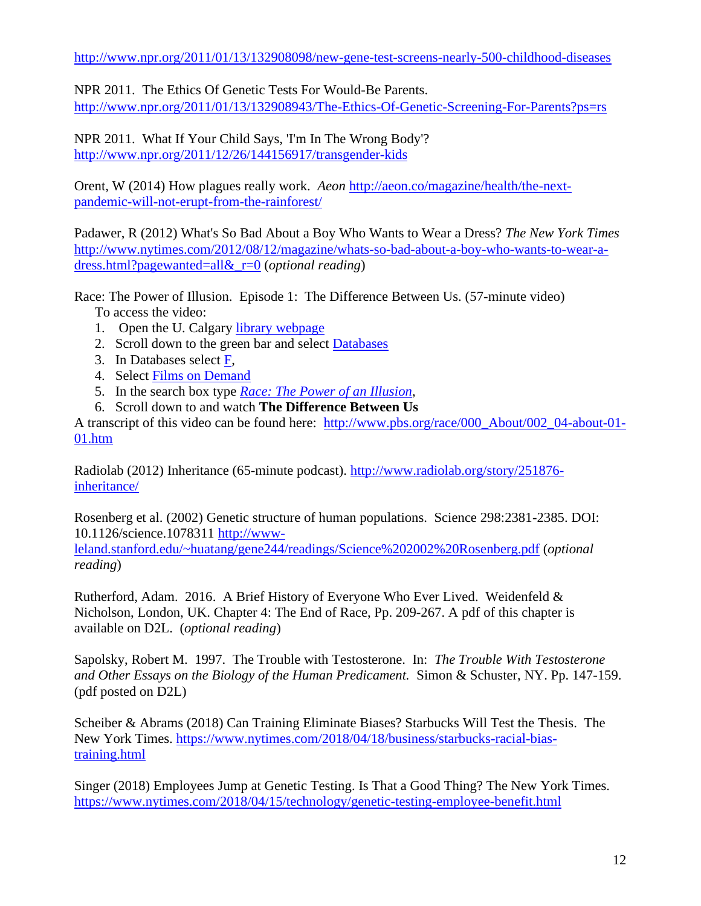<http://www.npr.org/2011/01/13/132908098/new-gene-test-screens-nearly-500-childhood-diseases>

NPR 2011. The Ethics Of Genetic Tests For Would-Be Parents. <http://www.npr.org/2011/01/13/132908943/The-Ethics-Of-Genetic-Screening-For-Parents?ps=rs>

NPR 2011. What If Your Child Says, 'I'm In The Wrong Body'? <http://www.npr.org/2011/12/26/144156917/transgender-kids>

Orent, W (2014) How plagues really work. *Aeon* [http://aeon.co/magazine/health/the-next](http://aeon.co/magazine/health/the-next-pandemic-will-not-erupt-from-the-rainforest/)[pandemic-will-not-erupt-from-the-rainforest/](http://aeon.co/magazine/health/the-next-pandemic-will-not-erupt-from-the-rainforest/)

Padawer, R (2012) What's So Bad About a Boy Who Wants to Wear a Dress? *The New York Times* [http://www.nytimes.com/2012/08/12/magazine/whats-so-bad-about-a-boy-who-wants-to-wear-a](http://www.nytimes.com/2012/08/12/magazine/whats-so-bad-about-a-boy-who-wants-to-wear-a-dress.html?pagewanted=all&_r=0)[dress.html?pagewanted=all&\\_r=0](http://www.nytimes.com/2012/08/12/magazine/whats-so-bad-about-a-boy-who-wants-to-wear-a-dress.html?pagewanted=all&_r=0) (*optional reading*)

Race: The Power of Illusion. Episode 1: The Difference Between Us. (57-minute video) To access the video:

- 1. Open the U. Calgary [library webpage](http://library.ucalgary.ca/)
- 2. Scroll down to the green bar and select [Databases](https://library.ucalgary.ca/az.php?a=f)
- 3. In Databases select [F,](https://library.ucalgary.ca/az.php?a=f)
- 4. Select [Films on Demand](http://fod.infobase.com.ezproxy.lib.ucalgary.ca/p_Home.aspx)
- 5. In the search box type *[Race: The Power of an Illusion](http://fod.infobase.com.ezproxy.lib.ucalgary.ca/p_Search.aspx?bc=0&rd=a&q=Race%3A%20the%20power%20of%20an%20illusio)*,
- 6. Scroll down to and watch **The Difference Between Us**

A transcript of this video can be found here: [http://www.pbs.org/race/000\\_About/002\\_04-about-01-](http://www.pbs.org/race/000_About/002_04-about-01-01.htm) [01.htm](http://www.pbs.org/race/000_About/002_04-about-01-01.htm)

Radiolab (2012) Inheritance (65-minute podcast). [http://www.radiolab.org/story/251876](http://www.radiolab.org/story/251876-inheritance/) [inheritance/](http://www.radiolab.org/story/251876-inheritance/)

Rosenberg et al. (2002) Genetic structure of human populations. Science 298:2381-2385. DOI: 10.1126/science.1078311 [http://www](http://www-leland.stanford.edu/~huatang/gene244/readings/Science%202002%20Rosenberg.pdf)[leland.stanford.edu/~huatang/gene244/readings/Science%202002%20Rosenberg.pdf](http://www-leland.stanford.edu/~huatang/gene244/readings/Science%202002%20Rosenberg.pdf) (*optional reading*)

Rutherford, Adam. 2016. A Brief History of Everyone Who Ever Lived. Weidenfeld & Nicholson, London, UK. Chapter 4: The End of Race, Pp. 209-267. A pdf of this chapter is available on D2L. (*optional reading*)

Sapolsky, Robert M. 1997. The Trouble with Testosterone. In: *The Trouble With Testosterone and Other Essays on the Biology of the Human Predicament.* Simon & Schuster, NY. Pp. 147-159. (pdf posted on D2L)

Scheiber & Abrams (2018) Can Training Eliminate Biases? Starbucks Will Test the Thesis. The New York Times. [https://www.nytimes.com/2018/04/18/business/starbucks-racial-bias](https://www.nytimes.com/2018/04/18/business/starbucks-racial-bias-training.html)[training.html](https://www.nytimes.com/2018/04/18/business/starbucks-racial-bias-training.html)

Singer (2018) Employees Jump at Genetic Testing. Is That a Good Thing? The New York Times. <https://www.nytimes.com/2018/04/15/technology/genetic-testing-employee-benefit.html>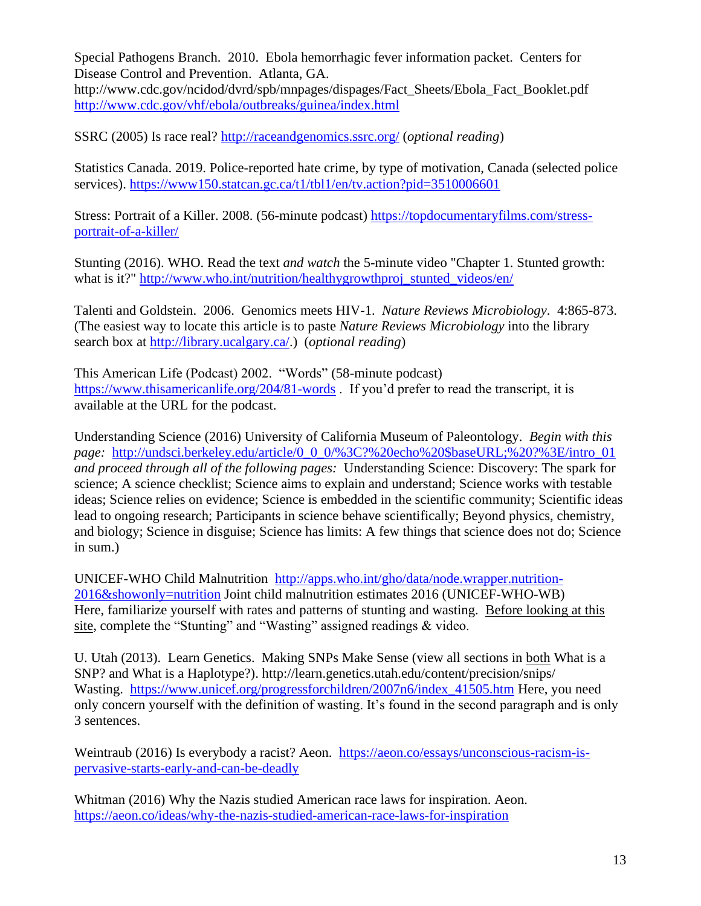Special Pathogens Branch. 2010. Ebola hemorrhagic fever information packet. Centers for Disease Control and Prevention. Atlanta, GA. http://www.cdc.gov/ncidod/dvrd/spb/mnpages/dispages/Fact\_Sheets/Ebola\_Fact\_Booklet.pdf <http://www.cdc.gov/vhf/ebola/outbreaks/guinea/index.html>

SSRC (2005) Is race real?<http://raceandgenomics.ssrc.org/> (*optional reading*)

Statistics Canada. 2019. Police-reported hate crime, by type of motivation, Canada (selected police services).<https://www150.statcan.gc.ca/t1/tbl1/en/tv.action?pid=3510006601>

Stress: Portrait of a Killer. 2008. (56-minute podcast) [https://topdocumentaryfilms.com/stress](https://topdocumentaryfilms.com/stress-portrait-of-a-killer/)[portrait-of-a-killer/](https://topdocumentaryfilms.com/stress-portrait-of-a-killer/)

Stunting (2016). WHO. Read the text *and watch* the 5-minute video "Chapter 1. Stunted growth: what is it?" [http://www.who.int/nutrition/healthygrowthproj\\_stunted\\_videos/en/](http://www.who.int/nutrition/healthygrowthproj_stunted_videos/en/)

Talenti and Goldstein. 2006. Genomics meets HIV-1. *Nature Reviews Microbiology*. 4:865-873. (The easiest way to locate this article is to paste *Nature Reviews Microbiology* into the library search box at [http://library.ucalgary.ca/.](http://library.ucalgary.ca/)) (*optional reading*)

This American Life (Podcast) 2002. "Words" (58-minute podcast) <https://www.thisamericanlife.org/204/81-words> . If you'd prefer to read the transcript, it is available at the URL for the podcast.

Understanding Science (2016) University of California Museum of Paleontology. *Begin with this page:* [http://undsci.berkeley.edu/article/0\\_0\\_0/%3C?%20echo%20\\$baseURL;%20?%3E/intro\\_01](http://undsci.berkeley.edu/article/0_0_0/%3C?%20echo%20$baseURL;%20?%3E/intro_01) *and proceed through all of the following pages:* Understanding Science: Discovery: The spark for science; A science checklist; Science aims to explain and understand; Science works with testable ideas; Science relies on evidence; Science is embedded in the scientific community; Scientific ideas lead to ongoing research; Participants in science behave scientifically; Beyond physics, chemistry, and biology; Science in disguise; Science has limits: A few things that science does not do; Science in sum.)

UNICEF-WHO Child Malnutrition [http://apps.who.int/gho/data/node.wrapper.nutrition-](http://apps.who.int/gho/data/node.wrapper.nutrition-2016&showonly=nutrition)[2016&showonly=nutrition](http://apps.who.int/gho/data/node.wrapper.nutrition-2016&showonly=nutrition) Joint child malnutrition estimates 2016 (UNICEF-WHO-WB) Here, familiarize yourself with rates and patterns of stunting and wasting. Before looking at this site, complete the "Stunting" and "Wasting" assigned readings & video.

U. Utah (2013). Learn Genetics. Making SNPs Make Sense (view all sections in both What is a SNP? and What is a Haplotype?). http://learn.genetics.utah.edu/content/precision/snips/ Wasting. [https://www.unicef.org/progressforchildren/2007n6/index\\_41505.htm](https://www.unicef.org/progressforchildren/2007n6/index_41505.htm) Here, you need only concern yourself with the definition of wasting. It's found in the second paragraph and is only 3 sentences.

Weintraub (2016) Is everybody a racist? Aeon. [https://aeon.co/essays/unconscious-racism-is](https://aeon.co/essays/unconscious-racism-is-pervasive-starts-early-and-can-be-deadly)[pervasive-starts-early-and-can-be-deadly](https://aeon.co/essays/unconscious-racism-is-pervasive-starts-early-and-can-be-deadly)

Whitman (2016) Why the Nazis studied American race laws for inspiration. Aeon. <https://aeon.co/ideas/why-the-nazis-studied-american-race-laws-for-inspiration>